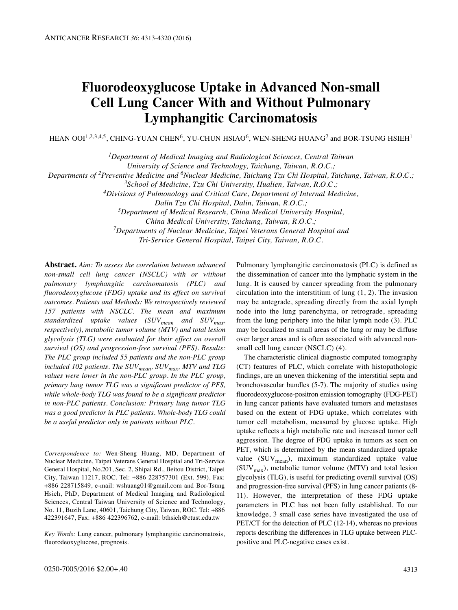# **Fluorodeoxyglucose Uptake in Advanced Non-small Cell Lung Cancer With and Without Pulmonary Lymphangitic Carcinomatosis**

HEAN OOI $^{1,2,3,4,5},$  CHING-YUAN CHEN $^{6},$  YU-CHUN HSIAO $^{6},$  WEN-SHENG HUANG $^{7}$  and BOR-TSUNG HSIEH $^{1}$ 

*1Department of Medical Imaging and Radiological Sciences, Central Taiwan*

*University of Science and Technology, Taichung, Taiwan, R.O.C.;*

*Departments of 2Preventive Medicine and 6Nuclear Medicine, Taichung Tzu Chi Hospital, Taichung, Taiwan, R.O.C.;*

*3School of Medicine, Tzu Chi University, Hualien, Taiwan, R.O.C.;*

*4Divisions of Pulmonology and Critical Care, Department of Internal Medicine,*

*Dalin Tzu Chi Hospital, Dalin, Taiwan, R.O.C.;*

*5Department of Medical Research, China Medical University Hospital,*

*China Medical University, Taichung, Taiwan, R.O.C.;*

*7Departments of Nuclear Medicine, Taipei Veterans General Hospital and*

*Tri-Service General Hospital, Taipei City, Taiwan, R.O.C.*

**Abstract.** *Aim: To assess the correlation between advanced non-small cell lung cancer (NSCLC) with or without pulmonary lymphangitic carcinomatosis (PLC) and fluorodeoxyglucose (FDG) uptake and its effect on survival outcomes. Patients and Methods: We retrospectively reviewed 157 patients with NSCLC. The mean and maximum standardized uptake values (SUVmean and SUVmax, respectively), metabolic tumor volume (MTV) and total lesion glycolysis (TLG) were evaluated for their effect on overall survival (OS) and progression-free survival (PFS). Results: The PLC group included 55 patients and the non-PLC group included 102 patients. The SUVmean, SUVmax, MTV and TLG values were lower in the non-PLC group. In the PLC group, primary lung tumor TLG was a significant predictor of PFS, while whole-body TLG was found to be a significant predictor in non-PLC patients. Conclusion: Primary lung tumor TLG was a good predictor in PLC patients. Whole-body TLG could be a useful predictor only in patients without PLC.*

*Correspondence to:* Wen-Sheng Huang, MD, Department of Nuclear Medicine, Taipei Veterans General Hospital and Tri-Service General Hospital, No.201, Sec. 2, Shipai Rd., Beitou District, Taipei City, Taiwan 11217, ROC. Tel: +886 228757301 (Ext. 599), Fax: +886 228715849, e-mail: wshuang01@gmail.com and Bor-Tsung Hsieh, PhD, Department of Medical Imaging and Radiological Sciences, Central Taiwan University of Science and Technology, No. 11, Buzih Lane, 40601, Taichung City, Taiwan, ROC. Tel: +886 422391647, Fax: +886 422396762, e-mail: bthsieh@ctust.edu.tw

*Key Words:* Lung cancer, pulmonary lymphangitic carcinomatosis, fluorodeoxyglucose, prognosis.

Pulmonary lymphangitic carcinomatosis (PLC) is defined as the dissemination of cancer into the lymphatic system in the lung. It is caused by cancer spreading from the pulmonary circulation into the interstitium of lung (1, 2). The invasion may be antegrade, spreading directly from the axial lymph node into the lung parenchyma, or retrograde, spreading from the lung periphery into the hilar lymph node (3). PLC may be localized to small areas of the lung or may be diffuse over larger areas and is often associated with advanced nonsmall cell lung cancer (NSCLC) (4).

The characteristic clinical diagnostic computed tomography (CT) features of PLC, which correlate with histopathologic findings, are an uneven thickening of the interstitial septa and bronchovascular bundles (5-7). The majority of studies using fluorodeoxyglucose-positron emission tomography (FDG-PET) in lung cancer patients have evaluated tumors and metastases based on the extent of FDG uptake, which correlates with tumor cell metabolism, measured by glucose uptake. High uptake reflects a high metabolic rate and increased tumor cell aggression. The degree of FDG uptake in tumors as seen on PET, which is determined by the mean standardized uptake value ( $\text{SUV}_{\text{mean}}$ ), maximum standardized uptake value  $(SUV_{max})$ , metabolic tumor volume (MTV) and total lesion glycolysis (TLG), is useful for predicting overall survival (OS) and progression-free survival (PFS) in lung cancer patients (8- 11). However, the interpretation of these FDG uptake parameters in PLC has not been fully established. To our knowledge, 3 small case series have investigated the use of PET/CT for the detection of PLC (12-14), whereas no previous reports describing the differences in TLG uptake between PLCpositive and PLC-negative cases exist.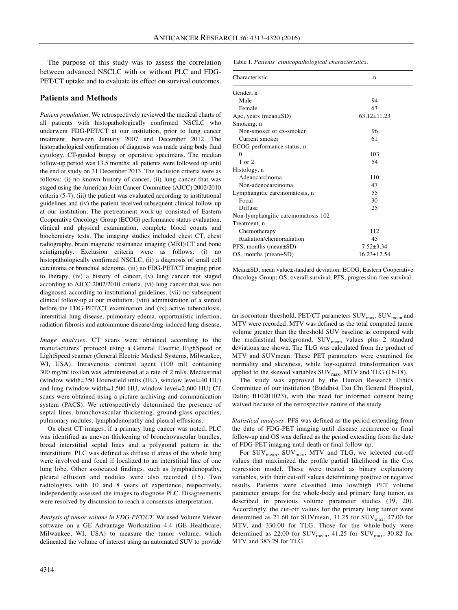The purpose of this study was to assess the correlation between advanced NSCLC with or without PLC and FDG-PET/CT uptake and to evaluate its effect on survival outcomes.

#### **Patients and Methods**

*Patient population.* We retrospectively reviewed the medical charts of all patients with histopathologically confirmed NSCLC who underwent FDG-PET/CT at our institution, prior to lung cancer treatment, between January 2007 and December 2012. The histopathological confirmation of diagnosis was made using body fluid cytology, CT-guided biopsy or operative specimens. The median follow-up period was 13.5 months; all patients were followed up until the end of study on 31 December 2013. The inclusion criteria were as follows: (i) no known history of cancer, (ii) lung cancer that was staged using the American Joint Cancer Committee (AJCC) 2002/2010 criteria (5-7), (iii) the patient was evaluated according to institutional guidelines and (iv) the patient received subsequent clinical follow-up at our institution. The pretreatment work-up consisted of Eastern Cooperative Oncology Group (ECOG) performance status evaluation, clinical and physical examination, complete blood counts and biochemistry tests. The imaging studies included chest CT, chest radiography, brain magnetic resonance imaging (MRI)/CT and bone scintigraphy. Exclusion criteria were as follows: (i) no histopathologically confirmed NSCLC, (ii) a diagnosis of small cell carcinoma or bronchial adenoma, (iii) no FDG-PET/CT imaging prior to therapy, (iv) a history of cancer, (v) lung cancer not staged according to AJCC 2002/2010 criteria, (vi) lung cancer that was not diagnosed according to institutional guidelines, (vii) no subsequent clinical follow-up at our institution, (viii) administration of a steroid before the FDG-PET/CT examination and (ix) active tuberculosis, interstitial lung disease, pulmonary edema, opportunistic infection, radiation fibrosis and autoimmune disease/drug-induced lung disease.

*Image analyses.* CT scans were obtained according to the manufacturers' protocol using a General Electric HighSpeed or LightSpeed scanner (General Electric Medical Systems, Milwaukee, WI, USA). Intravenous contrast agent (100 ml) containing 300 mg/ml ioxilan was administered at a rate of 2 ml/s. Mediastinal (window width=350 Hounsfield units (HU), window level=40 HU) and lung (window width=1,500 HU, window level=2,600 HU) CT scans were obtained using a picture archiving and communication system (PACS). We retrospectively determined the presence of septal lines, bronchovascular thickening, ground-glass opacities, pulmonary nodules, lymphadenopathy and pleural effusions.

On chest CT images, if a primary lung cancer was noted, PLC was identified as uneven thickening of bronchovascular bundles, broad interstitial septal lines and a polygonal pattern in the interstitium. PLC was defined as diffuse if areas of the whole lung were involved and focal if localized to an interstitial line of one lung lobe. Other associated findings, such as lymphadenopathy, pleural effusion and nodules were also recorded (15). Two radiologists with 10 and 8 years of experience, respectively, independently assessed the images to diagnose PLC. Disagreements were resolved by discussion to reach a consensus interpretation.

*Analysis of tumor volume in FDG-PET/CT.* We used Volume Viewer software on a GE Advantage Workstation 4.4 (GE Healthcare, Milwaukee, WI, USA) to measure the tumor volume, which delineated the volume of interest using an automated SUV to provide Table I. *Patients' clinicopathological characteristics.*

| Characteristic                      | n                 |
|-------------------------------------|-------------------|
| Gender, n                           |                   |
| Male                                | 94                |
| Female                              | 63                |
| Age, years (mean $\pm SD$ )         | $63.12 \pm 11.23$ |
| Smoking, n                          |                   |
| Non-smoker or ex-smoker             | 96                |
| Current smoker                      | 61                |
| ECOG performance status, n          |                   |
| $\Omega$                            | 103               |
| 1 or 2                              | 54                |
| Histology, n                        |                   |
| Adenocarcinoma                      | 110               |
| Non-adenocarcinoma                  | 47                |
| Lymphangitic carcinomatosis, n      | 55                |
| Focal                               | 30                |
| Diffuse                             | 25                |
| Non-lymphangitic carcinomatosis 102 |                   |
| Treatment, n                        |                   |
| Chemotherapy                        | 112               |
| Radiation/chemoradiation            | 45                |
| PFS, months (mean±SD)               | $7.52 + 3.34$     |
| $OS$ , months (mean $\pm SD$ )      | $16.23 \pm 12.54$ |

Mean±SD, mean value±standard deviation; ECOG, Eastern Cooperative Oncology Group; OS, overall survival; PFS, progression-free survival.

an isocontour threshold. PET/CT parameters SUV<sub>max</sub>, SUV<sub>mean</sub> and MTV were recorded. MTV was defined as the total computed tumor volume greater than the threshold SUV baseline as compared with the mediastinal background. SUV<sub>mean</sub> values plus 2 standard deviations are shown. The TLG was calculated from the product of MTV and SUVmean. These PET parameters were examined for normality and skewness, while log-squared transformation was applied to the skewed variables  $\text{SUV}_{\text{max}}$ , MTV and TLG (16-18).

The study was approved by the Human Research Ethics Committee of our institution (Buddhist Tzu Chi General Hospital, Dalin; B10201023), with the need for informed consent being waived because of the retrospective nature of the study.

*Statistical analyses.* PFS was defined as the period extending from the date of FDG-PET imaging until disease recurrence or final follow-up and OS was defined as the period extending from the date of FDG-PET imaging until death or final follow-up.

For SUV<sub>mean</sub>, SUV<sub>max</sub>, MTV and TLG, we selected cut-off values that maximized the profile partial likelihood in the Cox regression model. These were treated as binary explanatory variables, with their cut-off values determining positive or negative results. Patients were classified into low/high PET volume parameter groups for the whole-body and primary lung tumor, as described in previous volume parameter studies (19, 20). Accordingly, the cut-off values for the primary lung tumor were determined as 21.60 for SUVmean, 31.25 for SUV $_{\text{max}}$ , 47.00 for MTV, and 330.00 for TLG. Those for the whole-body were determined as 22.00 for  $\text{SUV}_{\text{mean}}$ , 41.25 for  $\text{SUV}_{\text{max}}$ , 30.82 for MTV and 383.29 for TLG.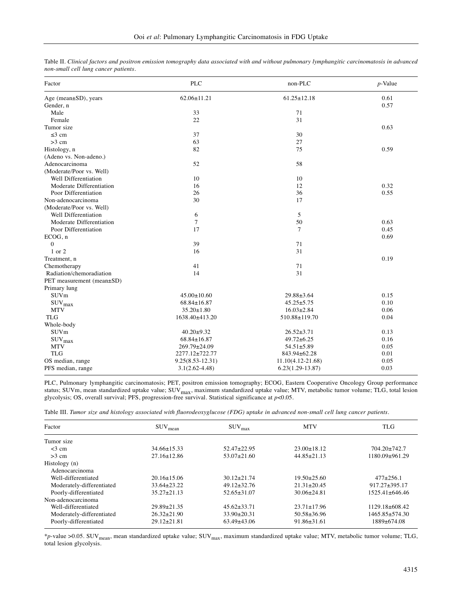| Factor                      | <b>PLC</b>           | non-PLC            | $p$ -Value |  |
|-----------------------------|----------------------|--------------------|------------|--|
| Age (mean±SD), years        | $62.06 \pm 11.21$    | $61.25 \pm 12.18$  | 0.61       |  |
| Gender, n                   |                      |                    | 0.57       |  |
| Male                        | 33                   | 71                 |            |  |
| Female                      | 22                   | 31                 |            |  |
| Tumor size                  |                      |                    | 0.63       |  |
| $\leq$ 3 cm                 | 37                   | 30                 |            |  |
| $>3$ cm                     | 63                   | 27                 |            |  |
| Histology, n                | 82                   | 75                 | 0.59       |  |
| (Adeno vs. Non-adeno.)      |                      |                    |            |  |
| Adenocarcinoma              | 52                   | 58                 |            |  |
| (Moderate/Poor vs. Well)    |                      |                    |            |  |
| Well Differentiation        | 10                   | 10                 |            |  |
| Moderate Differentiation    | 16                   | 12                 | 0.32       |  |
| Poor Differentiation        | 26                   | 36                 | 0.55       |  |
| Non-adenocarcinoma          | 30                   | 17                 |            |  |
| (Moderate/Poor vs. Well)    |                      |                    |            |  |
| Well Differentiation        | 6                    | 5                  |            |  |
| Moderate Differentiation    | 7                    | 50                 | 0.63       |  |
| Poor Differentiation        | 17                   | $\tau$             | 0.45       |  |
| ECOG, n                     |                      |                    | 0.69       |  |
| $\mathbf{0}$                | 39                   | 71                 |            |  |
| 1 or 2                      | 16                   | 31                 |            |  |
| Treatment, n                |                      |                    | 0.19       |  |
| Chemotherapy                | 41                   | 71                 |            |  |
| Radiation/chemoradiation    | 14                   | 31                 |            |  |
| PET measurement (mean±SD)   |                      |                    |            |  |
| Primary lung                |                      |                    |            |  |
| SUVm                        | $45.00 \pm 10.60$    | 29.88±3.64         | 0.15       |  |
| $\mathrm{SUV}_\mathrm{max}$ | 68.84±16.87          | $45.25 \pm 5.75$   | 0.10       |  |
| <b>MTV</b>                  | $35.20 \pm 1.80$     | $16.03 \pm 2.84$   | 0.06       |  |
| <b>TLG</b>                  | 1638.40±413.20       | 510.88±119.70      | 0.04       |  |
| Whole-body                  |                      |                    |            |  |
| SUVm                        | $40.20 \pm 9.32$     | $26.52 \pm 3.71$   | 0.13       |  |
| $\text{SUV}_{\text{max}}$   | 68.84±16.87          | $49.72 \pm 6.25$   | 0.16       |  |
| <b>MTV</b>                  | 269.79±24.09         | $54.51 \pm 5.89$   | 0.05       |  |
| <b>TLG</b>                  | 2277.12±722.77       | 843.94±62.28       | 0.01       |  |
| OS median, range            | $9.25(8.53 - 12.31)$ | 11.10(4.12-21.68)  | 0.05       |  |
| PFS median, range           | $3.1(2.62 - 4.48)$   | $6.23(1.29-13.87)$ | 0.03       |  |

Table II. Clinical factors and positron emission tomography data associated with and without pulmonary lymphangitic carcinomatosis in advanced *non-small cell lung cancer patients.*

PLC, Pulmonary lymphangitic carcinomatosis; PET, positron emission tomography; ECOG, Eastern Cooperative Oncology Group performance status; SUVm, mean standardized uptake value; SUV<sub>max</sub>, maximum standardized uptake value; MTV, metabolic tumor volume; TLG, total lesion glycolysis; OS, overall survival; PFS, progression-free survival. Statistical significance at *p*<0.05.

|  |  |  |  | Table III. Tumor size and histology associated with fluorodeoxyglucose (FDG) uptake in advanced non-small cell lung cancer patients. |  |
|--|--|--|--|--------------------------------------------------------------------------------------------------------------------------------------|--|
|--|--|--|--|--------------------------------------------------------------------------------------------------------------------------------------|--|

| Factor                    | $\text{SUV}_{\text{mean}}$ | $\text{SUV}_{\text{max}}$ | <b>MTV</b>        | <b>TLG</b>           |
|---------------------------|----------------------------|---------------------------|-------------------|----------------------|
| Tumor size                |                            |                           |                   |                      |
| $<$ 3 cm                  | $34.66 \pm 15.33$          | $52.47 \pm 22.95$         | $23.00 \pm 18.12$ | $704.20 \pm 742.7$   |
| $>3$ cm                   | $27.16 \pm 12.86$          | $53.07 \pm 21.60$         | $44.85 \pm 21.13$ | 1180.09±961.29       |
| Histology (n)             |                            |                           |                   |                      |
| Adenocarcinoma            |                            |                           |                   |                      |
| Well-differentiated       | $20.16 \pm 15.06$          | $30.12 \pm 21.74$         | $19.50 \pm 25.60$ | $477 \pm 256.1$      |
| Moderately-differentiated | $33.64 \pm 23.22$          | $49.12 \pm 32.76$         | $21.31 \pm 20.45$ | $917.27 \pm 395.17$  |
| Poorly-differentiated     | $35.27 \pm 21.13$          | $52.65 \pm 31.07$         | $30.06\pm24.81$   | $1525.41 \pm 646.46$ |
| Non-adenocarcinoma        |                            |                           |                   |                      |
| Well-differentiated       | $29.89 \pm 21.35$          | $45.62 \pm 33.71$         | $23.71 \pm 17.96$ | $1129.18\pm 608.42$  |
| Moderately-differentiated | $26.32 \pm 21.90$          | $33.90 \pm 20.31$         | $50.58 \pm 36.96$ | 1465.85±574.30       |
| Poorly-differentiated     | $29.12 \pm 21.81$          | $63.49\pm43.06$           | $91.86 \pm 31.61$ | 1889±674.08          |

\**p-*value >0.05. SUVmean, mean standardized uptake value; SUVmax, maximum standardized uptake value; MTV, metabolic tumor volume; TLG, total lesion glycolysis.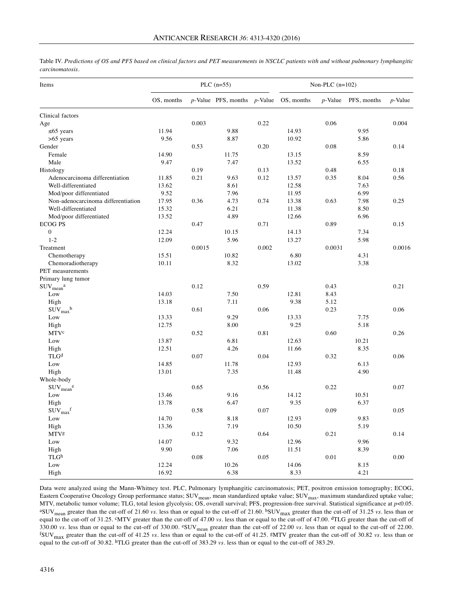| Table IV. Predictions of OS and PFS based on clinical factors and PET measurements in NSCLC patients with and without pulmonary lymphangitic |  |
|----------------------------------------------------------------------------------------------------------------------------------------------|--|
| carcinomatosis.                                                                                                                              |  |

| OS, months<br>$p$ -Value PFS, months $p$ -Value<br>OS, months<br>PFS, months<br>$p$ -Value<br>$p$ -Value<br>Clinical factors<br>0.003<br>0.22<br>0.06<br>0.004<br>Age<br>11.94<br>$\leq 65$ years<br>9.88<br>14.93<br>9.95<br>9.56<br>$>65$ years<br>8.87<br>10.92<br>5.86<br>Gender<br>0.53<br>0.20<br>0.08<br>0.14<br>Female<br>14.90<br>8.59<br>11.75<br>13.15<br>Male<br>9.47<br>7.47<br>13.52<br>6.55<br>Histology<br>0.19<br>0.13<br>0.48<br>0.18<br>0.21<br>0.12<br>0.35<br>0.56<br>Adenocarcinoma differentiation<br>11.85<br>9.63<br>8.04<br>13.57<br>Well-differentiated<br>13.62<br>8.61<br>12.58<br>7.63<br>Mod/poor differentiated<br>9.52<br>7.96<br>11.95<br>6.99<br>Non-adenocarcinoma differentiation<br>17.95<br>0.36<br>4.73<br>0.63<br>7.98<br>0.74<br>13.38<br>0.25<br>Well-differentiated<br>15.32<br>6.21<br>11.38<br>8.50<br>4.89<br>Mod/poor differentiated<br>13.52<br>12.66<br>6.96<br><b>ECOG PS</b><br>0.47<br>0.71<br>0.89<br>0.15<br>$\boldsymbol{0}$<br>12.24<br>10.15<br>14.13<br>7.34<br>$1 - 2$<br>12.09<br>5.96<br>13.27<br>5.98<br>0.0016<br>Treatment<br>0.0015<br>0.002<br>0.0031<br>15.51<br>6.80<br>4.31<br>Chemotherapy<br>10.82<br>8.32<br>10.11<br>13.02<br>3.38<br>Chemoradiotherapy<br>PET measurements<br>Primary lung tumor<br>0.12<br>0.59<br>$\text{SUV}_{\text{mean}}^{\text{a}}$<br>0.43<br>0.21<br>14.03<br>Low<br>7.50<br>12.81<br>8.43<br>High<br>13.18<br>7.11<br>9.38<br>5.12<br>$\text{SUV}_{\text{max}}^{\text{b}}$<br>0.61<br>0.06<br>0.23<br>0.06<br>9.29<br>7.75<br>Low<br>13.33<br>13.33<br>12.75<br>8.00<br>5.18<br>High<br>9.25<br>MTVc<br>0.81<br>0.60<br>0.52<br>0.26<br>Low<br>13.87<br>6.81<br>12.63<br>10.21<br>4.26<br>8.35<br>High<br>12.51<br>11.66<br>TLG <sup>d</sup><br>0.07<br>0.04<br>0.32<br>0.06<br>Low<br>14.85<br>11.78<br>12.93<br>6.13<br>13.01<br>7.35<br>4.90<br>High<br>11.48<br>Whole-body<br>0.56<br>0.22<br>0.07<br>$\text{SUV}_{\text{mean}}^{\text{e}}$<br>0.65<br>13.46<br>9.16<br>10.51<br>Low<br>14.12<br>High<br>13.78<br>6.47<br>9.35<br>6.37<br>$\text{SUV}_{\text{max}}$ f<br>0.07<br>0.09<br>0.58<br>0.05<br>Low<br>14.70<br>8.18<br>9.83<br>12.93<br>7.19<br>13.36<br>10.50<br>5.19<br>High<br>0.64<br>0.21<br><b>MTVg</b><br>0.12<br>0.14<br>Low<br>14.07<br>9.32<br>12.96<br>9.96<br>7.06<br>9.90<br>11.51<br>8.39<br>High<br>TLG <sup>h</sup><br>$0.01\,$<br>0.08<br>0.05<br>0.00<br>12.24<br>10.26<br>14.06<br>Low<br>8.15<br>16.92<br>6.38<br>8.33<br>4.21<br>High | Items | PLC $(n=55)$ |  |  | Non-PLC $(n=102)$ |  |  |  |  |
|------------------------------------------------------------------------------------------------------------------------------------------------------------------------------------------------------------------------------------------------------------------------------------------------------------------------------------------------------------------------------------------------------------------------------------------------------------------------------------------------------------------------------------------------------------------------------------------------------------------------------------------------------------------------------------------------------------------------------------------------------------------------------------------------------------------------------------------------------------------------------------------------------------------------------------------------------------------------------------------------------------------------------------------------------------------------------------------------------------------------------------------------------------------------------------------------------------------------------------------------------------------------------------------------------------------------------------------------------------------------------------------------------------------------------------------------------------------------------------------------------------------------------------------------------------------------------------------------------------------------------------------------------------------------------------------------------------------------------------------------------------------------------------------------------------------------------------------------------------------------------------------------------------------------------------------------------------------------------------------------------------------------------------------------------------------------------------------------------------------------------------------------------------------------------------------------------------------------------------------------------------------------------------------------------------------------------------------------------------------------------------------------------------------------------------------------------------------------------|-------|--------------|--|--|-------------------|--|--|--|--|
|                                                                                                                                                                                                                                                                                                                                                                                                                                                                                                                                                                                                                                                                                                                                                                                                                                                                                                                                                                                                                                                                                                                                                                                                                                                                                                                                                                                                                                                                                                                                                                                                                                                                                                                                                                                                                                                                                                                                                                                                                                                                                                                                                                                                                                                                                                                                                                                                                                                                              |       |              |  |  |                   |  |  |  |  |
|                                                                                                                                                                                                                                                                                                                                                                                                                                                                                                                                                                                                                                                                                                                                                                                                                                                                                                                                                                                                                                                                                                                                                                                                                                                                                                                                                                                                                                                                                                                                                                                                                                                                                                                                                                                                                                                                                                                                                                                                                                                                                                                                                                                                                                                                                                                                                                                                                                                                              |       |              |  |  |                   |  |  |  |  |
|                                                                                                                                                                                                                                                                                                                                                                                                                                                                                                                                                                                                                                                                                                                                                                                                                                                                                                                                                                                                                                                                                                                                                                                                                                                                                                                                                                                                                                                                                                                                                                                                                                                                                                                                                                                                                                                                                                                                                                                                                                                                                                                                                                                                                                                                                                                                                                                                                                                                              |       |              |  |  |                   |  |  |  |  |
|                                                                                                                                                                                                                                                                                                                                                                                                                                                                                                                                                                                                                                                                                                                                                                                                                                                                                                                                                                                                                                                                                                                                                                                                                                                                                                                                                                                                                                                                                                                                                                                                                                                                                                                                                                                                                                                                                                                                                                                                                                                                                                                                                                                                                                                                                                                                                                                                                                                                              |       |              |  |  |                   |  |  |  |  |
|                                                                                                                                                                                                                                                                                                                                                                                                                                                                                                                                                                                                                                                                                                                                                                                                                                                                                                                                                                                                                                                                                                                                                                                                                                                                                                                                                                                                                                                                                                                                                                                                                                                                                                                                                                                                                                                                                                                                                                                                                                                                                                                                                                                                                                                                                                                                                                                                                                                                              |       |              |  |  |                   |  |  |  |  |
|                                                                                                                                                                                                                                                                                                                                                                                                                                                                                                                                                                                                                                                                                                                                                                                                                                                                                                                                                                                                                                                                                                                                                                                                                                                                                                                                                                                                                                                                                                                                                                                                                                                                                                                                                                                                                                                                                                                                                                                                                                                                                                                                                                                                                                                                                                                                                                                                                                                                              |       |              |  |  |                   |  |  |  |  |
|                                                                                                                                                                                                                                                                                                                                                                                                                                                                                                                                                                                                                                                                                                                                                                                                                                                                                                                                                                                                                                                                                                                                                                                                                                                                                                                                                                                                                                                                                                                                                                                                                                                                                                                                                                                                                                                                                                                                                                                                                                                                                                                                                                                                                                                                                                                                                                                                                                                                              |       |              |  |  |                   |  |  |  |  |
|                                                                                                                                                                                                                                                                                                                                                                                                                                                                                                                                                                                                                                                                                                                                                                                                                                                                                                                                                                                                                                                                                                                                                                                                                                                                                                                                                                                                                                                                                                                                                                                                                                                                                                                                                                                                                                                                                                                                                                                                                                                                                                                                                                                                                                                                                                                                                                                                                                                                              |       |              |  |  |                   |  |  |  |  |
|                                                                                                                                                                                                                                                                                                                                                                                                                                                                                                                                                                                                                                                                                                                                                                                                                                                                                                                                                                                                                                                                                                                                                                                                                                                                                                                                                                                                                                                                                                                                                                                                                                                                                                                                                                                                                                                                                                                                                                                                                                                                                                                                                                                                                                                                                                                                                                                                                                                                              |       |              |  |  |                   |  |  |  |  |
|                                                                                                                                                                                                                                                                                                                                                                                                                                                                                                                                                                                                                                                                                                                                                                                                                                                                                                                                                                                                                                                                                                                                                                                                                                                                                                                                                                                                                                                                                                                                                                                                                                                                                                                                                                                                                                                                                                                                                                                                                                                                                                                                                                                                                                                                                                                                                                                                                                                                              |       |              |  |  |                   |  |  |  |  |
|                                                                                                                                                                                                                                                                                                                                                                                                                                                                                                                                                                                                                                                                                                                                                                                                                                                                                                                                                                                                                                                                                                                                                                                                                                                                                                                                                                                                                                                                                                                                                                                                                                                                                                                                                                                                                                                                                                                                                                                                                                                                                                                                                                                                                                                                                                                                                                                                                                                                              |       |              |  |  |                   |  |  |  |  |
|                                                                                                                                                                                                                                                                                                                                                                                                                                                                                                                                                                                                                                                                                                                                                                                                                                                                                                                                                                                                                                                                                                                                                                                                                                                                                                                                                                                                                                                                                                                                                                                                                                                                                                                                                                                                                                                                                                                                                                                                                                                                                                                                                                                                                                                                                                                                                                                                                                                                              |       |              |  |  |                   |  |  |  |  |
|                                                                                                                                                                                                                                                                                                                                                                                                                                                                                                                                                                                                                                                                                                                                                                                                                                                                                                                                                                                                                                                                                                                                                                                                                                                                                                                                                                                                                                                                                                                                                                                                                                                                                                                                                                                                                                                                                                                                                                                                                                                                                                                                                                                                                                                                                                                                                                                                                                                                              |       |              |  |  |                   |  |  |  |  |
|                                                                                                                                                                                                                                                                                                                                                                                                                                                                                                                                                                                                                                                                                                                                                                                                                                                                                                                                                                                                                                                                                                                                                                                                                                                                                                                                                                                                                                                                                                                                                                                                                                                                                                                                                                                                                                                                                                                                                                                                                                                                                                                                                                                                                                                                                                                                                                                                                                                                              |       |              |  |  |                   |  |  |  |  |
|                                                                                                                                                                                                                                                                                                                                                                                                                                                                                                                                                                                                                                                                                                                                                                                                                                                                                                                                                                                                                                                                                                                                                                                                                                                                                                                                                                                                                                                                                                                                                                                                                                                                                                                                                                                                                                                                                                                                                                                                                                                                                                                                                                                                                                                                                                                                                                                                                                                                              |       |              |  |  |                   |  |  |  |  |
|                                                                                                                                                                                                                                                                                                                                                                                                                                                                                                                                                                                                                                                                                                                                                                                                                                                                                                                                                                                                                                                                                                                                                                                                                                                                                                                                                                                                                                                                                                                                                                                                                                                                                                                                                                                                                                                                                                                                                                                                                                                                                                                                                                                                                                                                                                                                                                                                                                                                              |       |              |  |  |                   |  |  |  |  |
|                                                                                                                                                                                                                                                                                                                                                                                                                                                                                                                                                                                                                                                                                                                                                                                                                                                                                                                                                                                                                                                                                                                                                                                                                                                                                                                                                                                                                                                                                                                                                                                                                                                                                                                                                                                                                                                                                                                                                                                                                                                                                                                                                                                                                                                                                                                                                                                                                                                                              |       |              |  |  |                   |  |  |  |  |
|                                                                                                                                                                                                                                                                                                                                                                                                                                                                                                                                                                                                                                                                                                                                                                                                                                                                                                                                                                                                                                                                                                                                                                                                                                                                                                                                                                                                                                                                                                                                                                                                                                                                                                                                                                                                                                                                                                                                                                                                                                                                                                                                                                                                                                                                                                                                                                                                                                                                              |       |              |  |  |                   |  |  |  |  |
|                                                                                                                                                                                                                                                                                                                                                                                                                                                                                                                                                                                                                                                                                                                                                                                                                                                                                                                                                                                                                                                                                                                                                                                                                                                                                                                                                                                                                                                                                                                                                                                                                                                                                                                                                                                                                                                                                                                                                                                                                                                                                                                                                                                                                                                                                                                                                                                                                                                                              |       |              |  |  |                   |  |  |  |  |
|                                                                                                                                                                                                                                                                                                                                                                                                                                                                                                                                                                                                                                                                                                                                                                                                                                                                                                                                                                                                                                                                                                                                                                                                                                                                                                                                                                                                                                                                                                                                                                                                                                                                                                                                                                                                                                                                                                                                                                                                                                                                                                                                                                                                                                                                                                                                                                                                                                                                              |       |              |  |  |                   |  |  |  |  |
|                                                                                                                                                                                                                                                                                                                                                                                                                                                                                                                                                                                                                                                                                                                                                                                                                                                                                                                                                                                                                                                                                                                                                                                                                                                                                                                                                                                                                                                                                                                                                                                                                                                                                                                                                                                                                                                                                                                                                                                                                                                                                                                                                                                                                                                                                                                                                                                                                                                                              |       |              |  |  |                   |  |  |  |  |
|                                                                                                                                                                                                                                                                                                                                                                                                                                                                                                                                                                                                                                                                                                                                                                                                                                                                                                                                                                                                                                                                                                                                                                                                                                                                                                                                                                                                                                                                                                                                                                                                                                                                                                                                                                                                                                                                                                                                                                                                                                                                                                                                                                                                                                                                                                                                                                                                                                                                              |       |              |  |  |                   |  |  |  |  |
|                                                                                                                                                                                                                                                                                                                                                                                                                                                                                                                                                                                                                                                                                                                                                                                                                                                                                                                                                                                                                                                                                                                                                                                                                                                                                                                                                                                                                                                                                                                                                                                                                                                                                                                                                                                                                                                                                                                                                                                                                                                                                                                                                                                                                                                                                                                                                                                                                                                                              |       |              |  |  |                   |  |  |  |  |
|                                                                                                                                                                                                                                                                                                                                                                                                                                                                                                                                                                                                                                                                                                                                                                                                                                                                                                                                                                                                                                                                                                                                                                                                                                                                                                                                                                                                                                                                                                                                                                                                                                                                                                                                                                                                                                                                                                                                                                                                                                                                                                                                                                                                                                                                                                                                                                                                                                                                              |       |              |  |  |                   |  |  |  |  |
|                                                                                                                                                                                                                                                                                                                                                                                                                                                                                                                                                                                                                                                                                                                                                                                                                                                                                                                                                                                                                                                                                                                                                                                                                                                                                                                                                                                                                                                                                                                                                                                                                                                                                                                                                                                                                                                                                                                                                                                                                                                                                                                                                                                                                                                                                                                                                                                                                                                                              |       |              |  |  |                   |  |  |  |  |
|                                                                                                                                                                                                                                                                                                                                                                                                                                                                                                                                                                                                                                                                                                                                                                                                                                                                                                                                                                                                                                                                                                                                                                                                                                                                                                                                                                                                                                                                                                                                                                                                                                                                                                                                                                                                                                                                                                                                                                                                                                                                                                                                                                                                                                                                                                                                                                                                                                                                              |       |              |  |  |                   |  |  |  |  |
|                                                                                                                                                                                                                                                                                                                                                                                                                                                                                                                                                                                                                                                                                                                                                                                                                                                                                                                                                                                                                                                                                                                                                                                                                                                                                                                                                                                                                                                                                                                                                                                                                                                                                                                                                                                                                                                                                                                                                                                                                                                                                                                                                                                                                                                                                                                                                                                                                                                                              |       |              |  |  |                   |  |  |  |  |
|                                                                                                                                                                                                                                                                                                                                                                                                                                                                                                                                                                                                                                                                                                                                                                                                                                                                                                                                                                                                                                                                                                                                                                                                                                                                                                                                                                                                                                                                                                                                                                                                                                                                                                                                                                                                                                                                                                                                                                                                                                                                                                                                                                                                                                                                                                                                                                                                                                                                              |       |              |  |  |                   |  |  |  |  |
|                                                                                                                                                                                                                                                                                                                                                                                                                                                                                                                                                                                                                                                                                                                                                                                                                                                                                                                                                                                                                                                                                                                                                                                                                                                                                                                                                                                                                                                                                                                                                                                                                                                                                                                                                                                                                                                                                                                                                                                                                                                                                                                                                                                                                                                                                                                                                                                                                                                                              |       |              |  |  |                   |  |  |  |  |
|                                                                                                                                                                                                                                                                                                                                                                                                                                                                                                                                                                                                                                                                                                                                                                                                                                                                                                                                                                                                                                                                                                                                                                                                                                                                                                                                                                                                                                                                                                                                                                                                                                                                                                                                                                                                                                                                                                                                                                                                                                                                                                                                                                                                                                                                                                                                                                                                                                                                              |       |              |  |  |                   |  |  |  |  |
|                                                                                                                                                                                                                                                                                                                                                                                                                                                                                                                                                                                                                                                                                                                                                                                                                                                                                                                                                                                                                                                                                                                                                                                                                                                                                                                                                                                                                                                                                                                                                                                                                                                                                                                                                                                                                                                                                                                                                                                                                                                                                                                                                                                                                                                                                                                                                                                                                                                                              |       |              |  |  |                   |  |  |  |  |
|                                                                                                                                                                                                                                                                                                                                                                                                                                                                                                                                                                                                                                                                                                                                                                                                                                                                                                                                                                                                                                                                                                                                                                                                                                                                                                                                                                                                                                                                                                                                                                                                                                                                                                                                                                                                                                                                                                                                                                                                                                                                                                                                                                                                                                                                                                                                                                                                                                                                              |       |              |  |  |                   |  |  |  |  |
|                                                                                                                                                                                                                                                                                                                                                                                                                                                                                                                                                                                                                                                                                                                                                                                                                                                                                                                                                                                                                                                                                                                                                                                                                                                                                                                                                                                                                                                                                                                                                                                                                                                                                                                                                                                                                                                                                                                                                                                                                                                                                                                                                                                                                                                                                                                                                                                                                                                                              |       |              |  |  |                   |  |  |  |  |
|                                                                                                                                                                                                                                                                                                                                                                                                                                                                                                                                                                                                                                                                                                                                                                                                                                                                                                                                                                                                                                                                                                                                                                                                                                                                                                                                                                                                                                                                                                                                                                                                                                                                                                                                                                                                                                                                                                                                                                                                                                                                                                                                                                                                                                                                                                                                                                                                                                                                              |       |              |  |  |                   |  |  |  |  |
|                                                                                                                                                                                                                                                                                                                                                                                                                                                                                                                                                                                                                                                                                                                                                                                                                                                                                                                                                                                                                                                                                                                                                                                                                                                                                                                                                                                                                                                                                                                                                                                                                                                                                                                                                                                                                                                                                                                                                                                                                                                                                                                                                                                                                                                                                                                                                                                                                                                                              |       |              |  |  |                   |  |  |  |  |
|                                                                                                                                                                                                                                                                                                                                                                                                                                                                                                                                                                                                                                                                                                                                                                                                                                                                                                                                                                                                                                                                                                                                                                                                                                                                                                                                                                                                                                                                                                                                                                                                                                                                                                                                                                                                                                                                                                                                                                                                                                                                                                                                                                                                                                                                                                                                                                                                                                                                              |       |              |  |  |                   |  |  |  |  |
|                                                                                                                                                                                                                                                                                                                                                                                                                                                                                                                                                                                                                                                                                                                                                                                                                                                                                                                                                                                                                                                                                                                                                                                                                                                                                                                                                                                                                                                                                                                                                                                                                                                                                                                                                                                                                                                                                                                                                                                                                                                                                                                                                                                                                                                                                                                                                                                                                                                                              |       |              |  |  |                   |  |  |  |  |
|                                                                                                                                                                                                                                                                                                                                                                                                                                                                                                                                                                                                                                                                                                                                                                                                                                                                                                                                                                                                                                                                                                                                                                                                                                                                                                                                                                                                                                                                                                                                                                                                                                                                                                                                                                                                                                                                                                                                                                                                                                                                                                                                                                                                                                                                                                                                                                                                                                                                              |       |              |  |  |                   |  |  |  |  |
|                                                                                                                                                                                                                                                                                                                                                                                                                                                                                                                                                                                                                                                                                                                                                                                                                                                                                                                                                                                                                                                                                                                                                                                                                                                                                                                                                                                                                                                                                                                                                                                                                                                                                                                                                                                                                                                                                                                                                                                                                                                                                                                                                                                                                                                                                                                                                                                                                                                                              |       |              |  |  |                   |  |  |  |  |
|                                                                                                                                                                                                                                                                                                                                                                                                                                                                                                                                                                                                                                                                                                                                                                                                                                                                                                                                                                                                                                                                                                                                                                                                                                                                                                                                                                                                                                                                                                                                                                                                                                                                                                                                                                                                                                                                                                                                                                                                                                                                                                                                                                                                                                                                                                                                                                                                                                                                              |       |              |  |  |                   |  |  |  |  |
|                                                                                                                                                                                                                                                                                                                                                                                                                                                                                                                                                                                                                                                                                                                                                                                                                                                                                                                                                                                                                                                                                                                                                                                                                                                                                                                                                                                                                                                                                                                                                                                                                                                                                                                                                                                                                                                                                                                                                                                                                                                                                                                                                                                                                                                                                                                                                                                                                                                                              |       |              |  |  |                   |  |  |  |  |
|                                                                                                                                                                                                                                                                                                                                                                                                                                                                                                                                                                                                                                                                                                                                                                                                                                                                                                                                                                                                                                                                                                                                                                                                                                                                                                                                                                                                                                                                                                                                                                                                                                                                                                                                                                                                                                                                                                                                                                                                                                                                                                                                                                                                                                                                                                                                                                                                                                                                              |       |              |  |  |                   |  |  |  |  |
|                                                                                                                                                                                                                                                                                                                                                                                                                                                                                                                                                                                                                                                                                                                                                                                                                                                                                                                                                                                                                                                                                                                                                                                                                                                                                                                                                                                                                                                                                                                                                                                                                                                                                                                                                                                                                                                                                                                                                                                                                                                                                                                                                                                                                                                                                                                                                                                                                                                                              |       |              |  |  |                   |  |  |  |  |
|                                                                                                                                                                                                                                                                                                                                                                                                                                                                                                                                                                                                                                                                                                                                                                                                                                                                                                                                                                                                                                                                                                                                                                                                                                                                                                                                                                                                                                                                                                                                                                                                                                                                                                                                                                                                                                                                                                                                                                                                                                                                                                                                                                                                                                                                                                                                                                                                                                                                              |       |              |  |  |                   |  |  |  |  |
|                                                                                                                                                                                                                                                                                                                                                                                                                                                                                                                                                                                                                                                                                                                                                                                                                                                                                                                                                                                                                                                                                                                                                                                                                                                                                                                                                                                                                                                                                                                                                                                                                                                                                                                                                                                                                                                                                                                                                                                                                                                                                                                                                                                                                                                                                                                                                                                                                                                                              |       |              |  |  |                   |  |  |  |  |
|                                                                                                                                                                                                                                                                                                                                                                                                                                                                                                                                                                                                                                                                                                                                                                                                                                                                                                                                                                                                                                                                                                                                                                                                                                                                                                                                                                                                                                                                                                                                                                                                                                                                                                                                                                                                                                                                                                                                                                                                                                                                                                                                                                                                                                                                                                                                                                                                                                                                              |       |              |  |  |                   |  |  |  |  |
|                                                                                                                                                                                                                                                                                                                                                                                                                                                                                                                                                                                                                                                                                                                                                                                                                                                                                                                                                                                                                                                                                                                                                                                                                                                                                                                                                                                                                                                                                                                                                                                                                                                                                                                                                                                                                                                                                                                                                                                                                                                                                                                                                                                                                                                                                                                                                                                                                                                                              |       |              |  |  |                   |  |  |  |  |
|                                                                                                                                                                                                                                                                                                                                                                                                                                                                                                                                                                                                                                                                                                                                                                                                                                                                                                                                                                                                                                                                                                                                                                                                                                                                                                                                                                                                                                                                                                                                                                                                                                                                                                                                                                                                                                                                                                                                                                                                                                                                                                                                                                                                                                                                                                                                                                                                                                                                              |       |              |  |  |                   |  |  |  |  |

Data were analyzed using the Mann-Whitney test. PLC, Pulmonary lymphangitic carcinomatosis; PET, positron emission tomography; ECOG, Eastern Cooperative Oncology Group performance status;  $\text{SUV}_{\text{mean}}$ , mean standardized uptake value;  $\text{SUV}_{\text{max}}$ , maximum standardized uptake value; MTV, metabolic tumor volume; TLG, total lesion glycolysis; OS, overall survival; PFS, progression-free survival. Statistical significance at *p*<0.05. <sup>a</sup>SUV<sub>mean</sub> greater than the cut-off of 21.60 *vs.* less than or equal to the cut-off of 21.60. <sup>b</sup>SUV<sub>max</sub> greater than the cut-off of 31.25 *vs.* less than or equal to the cut-off of 31.25. CMTV greater than the cut-off of 47.00 *vs*. less than or equal to the cut-off of 47.00. dTLG greater than the cut-off of 330.00 *vs*. less than or equal to the cut-off of 22.00.  $f_{\text{SUV}}$ <sub>max</sub> greater than the cut-off of 41.25 vs. less than or equal to the cut-off of 41.25. SMTV greater than the cut-off of 30.82 vs. less than or equal to the cut-off of 30.82. hTLG greater than the cut-off of 383.29 *vs.* less than or equal to the cut-off of 383.29.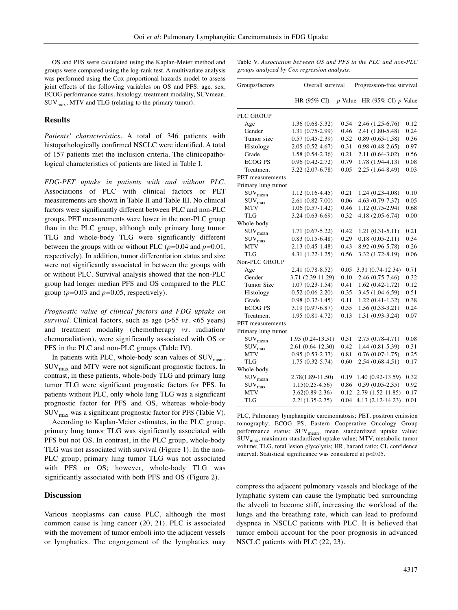OS and PFS were calculated using the Kaplan-Meier method and groups were compared using the log-rank test. A multivariate analysis was performed using the Cox proportional hazards model to assess joint effects of the following variables on OS and PFS: age, sex, ECOG performance status, histology, treatment modality, SUVmean,  $\text{SUV}_{\text{max}}$ , MTV and TLG (relating to the primary tumor).

## **Results**

*Patients' characteristics.* A total of 346 patients with histopathologically confirmed NSCLC were identified. A total of 157 patients met the inclusion criteria. The clinicopathological characteristics of patients are listed in Table I.

*FDG-PET uptake in patients with and without PLC.* Associations of PLC with clinical factors or PET measurements are shown in Table II and Table III. No clinical factors were significantly different between PLC and non-PLC groups. PET measurements were lower in the non-PLC group than in the PLC group, although only primary lung tumor TLG and whole-body TLG were significantly different between the groups with or without PLC (*p=*0.04 and *p=*0.01, respectively). In addition, tumor differentiation status and size were not significantly associated in between the groups with or without PLC. Survival analysis showed that the non-PLC group had longer median PFS and OS compared to the PLC group (*p=*0.03 and *p=*0.05, respectively).

*Prognostic value of clinical factors and FDG uptake on survival*. Clinical factors, such as age (>65 *vs.* <65 years) and treatment modality (chemotherapy *vs.* radiation/ chemoradiation), were significantly associated with OS or PFS in the PLC and non-PLC groups (Table IV).

In patients with PLC, whole-body scan values of  $\text{SUV}_{\text{mean}}$ ,  $\text{SUV}_{\text{max}}$  and MTV were not significant prognostic factors. In contrast, in these patients, whole-body TLG and primary lung tumor TLG were significant prognostic factors for PFS. In patients without PLC, only whole lung TLG was a significant prognostic factor for PFS and OS, whereas whole-body  $\text{SUV}_{\text{max}}$  was a significant prognostic factor for PFS (Table V).

According to Kaplan-Meier estimates, in the PLC group, primary lung tumor TLG was significantly associated with PFS but not OS. In contrast, in the PLC group, whole-body TLG was not associated with survival (Figure 1). In the non-PLC group, primary lung tumor TLG was not associated with PFS or OS; however, whole-body TLG was significantly associated with both PFS and OS (Figure 2).

### **Discussion**

Various neoplasms can cause PLC, although the most common cause is lung cancer (20, 21). PLC is associated with the movement of tumor emboli into the adjacent vessels or lymphatics. The engorgement of the lymphatics may Table V. *Association between OS and PFS in the PLC and non-PLC groups analyzed by Cox regression analysis.*

| Groups/factors             | Overall survival    |            | Progression-free survival |      |  |
|----------------------------|---------------------|------------|---------------------------|------|--|
|                            | HR (95% CI)         | $p$ -Value | HR (95% CI) $p$ -Value    |      |  |
| <b>PLC GROUP</b>           |                     |            |                           |      |  |
| Age                        | 1.36 (0.68-5.32)    | 0.54       | 2.46 (1.25-6.76)          | 0.12 |  |
| Gender                     | 1.31 (0.75-2.99)    | 0.46       | 2.41 (1.80-5.48)          | 0.24 |  |
| Tumor size                 | $0.57(0.45-2.39)$   | 0.52       | $0.89(0.65-1.58)$         | 0.36 |  |
| Histology                  | $2.05(0.52 - 4.67)$ | 0.31       | $0.98(0.48-2.65)$         | 0.97 |  |
| Grade                      | 1.58 (0.54-2.36)    | 0.21       | 2.11 (0.64-3.02)          | 0.56 |  |
| <b>ECOG PS</b>             | $0.96(0.42 - 2.72)$ | 0.79       | $1.78(1.94-4.13)$         | 0.08 |  |
| Treatment                  | 3.22 (2.07-6.78)    | 0.05       | 2.25 (1.64-8.49)          | 0.03 |  |
| PET measurements           |                     |            |                           |      |  |
| Primary lung tumor         |                     |            |                           |      |  |
| $\text{SUV}_{\text{mean}}$ | 1.12 (0.16-4.45)    | 0.21       | $1.24(0.23 - 4.08)$       | 0.10 |  |
| $\text{SUV}_{\text{max}}$  | 2.61 (0.82-7.00)    | 0.06       | 4.63 (0.79-7.37)          | 0.05 |  |
| <b>MTV</b>                 | $1.06(0.57-1.42)$   | 0.46       | $1.12(0.75-2.94)$         | 0.68 |  |
| TLG                        | $3.24(0.63-6.69)$   | 0.32       | 4.18 (2.05-6.74)          | 0.00 |  |
| Whole-body                 |                     |            |                           |      |  |
| $\text{SUV}_{\text{mean}}$ | 1.71 (0.67-5.22)    | 0.42       | $1.21(0.31 - 5.11)$       | 0.21 |  |
| $\text{SUV}_{\text{max}}$  | $0.83(0.15-6.48)$   | 0.29       | $0.18(0.05-2.11)$         | 0.34 |  |
| <b>MTV</b>                 | 2.13 (0.45-1.48)    | 0.43       | 8.92 (0.96-5.78)          | 0.26 |  |
| <b>TLG</b>                 | $4.31(1.22 - 1.25)$ | 0.56       | 3.32 (1.72-8.19)          | 0.06 |  |
| Non-PLC GROUP              |                     |            |                           |      |  |
| Age                        | 2.41 (0.78-8.52)    | 0.05       | 3.31 (0.74-12.34)         | 0.71 |  |
| Gender                     | 3.71 (2.39-11.29)   | 0.10       | 2.46 (0.75-7.46)          | 0.32 |  |
| Tumor Size                 | $1.07(0.23-1.54)$   | 0.41       | $1.62(0.42 - 1.72)$       | 0.12 |  |
| Histology                  | $0.52(0.06-2.20)$   | 0.35       | 3.45 (1.04-6.59)          | 0.51 |  |
| Grade                      | $0.98(0.32 - 1.45)$ | 0.11       | $1.22(0.41-1.32)$         | 0.38 |  |
| <b>ECOG PS</b>             | 3.19 (0.97-6.87)    | 0.35       | $1.56(0.33-3.21)$         | 0.24 |  |
| Treatment                  | 1.95 (0.81-4.72)    | 0.13       | 1.31 (0.93-3.24)          | 0.07 |  |
| <b>PET</b> measurements    |                     |            |                           |      |  |
| Primary lung tumor         |                     |            |                           |      |  |
| $\text{SUV}_{\text{mean}}$ | $1.95(0.24-13.51)$  | 0.51       | 2.75 (0.78-4.71)          | 0.08 |  |
| $\text{SUV}_{\text{max}}$  | 2.61 (0.64-12.30)   | 0.42       | 1.44 (0.81-5.39)          | 0.31 |  |
| MTV                        | $0.95(0.53 - 2.37)$ | 0.81       | $0.76(0.07-1.75)$         | 0.25 |  |
| TLG                        | $1.75(0.32 - 5.74)$ | 0.60       | $2.54(0.68-4.51)$         | 0.17 |  |
| Whole-body                 |                     |            |                           |      |  |
| $\text{SUV}_{\text{mean}}$ | 2.78(1.89-11.50)    | 0.19       | 1.40 (0.92-13.59)         | 0.32 |  |
| $\text{SUV}_{\text{max}}$  | $1.15(0.25 - 4.56)$ | 0.86       | $0.59(0.05-2.35)$         | 0.92 |  |
| <b>MTV</b>                 | $3.62(0.89 - 2.36)$ | 0.12       | 2.79 (1.52-11.85)         | 0.17 |  |
| TLG                        | $2.21(1.35 - 2.75)$ | 0.04       | 4.13 (2.12-14.23)         | 0.01 |  |

PLC, Pulmonary lymphangitic carcinomatosis; PET, positron emission tomography; ECOG PS, Eastern Cooperative Oncology Group performance status; SUV<sub>mean</sub>, mean standardized uptake value;  $\text{SUV}_{\text{max}}$ , maximum standardized uptake value; MTV, metabolic tumor volume; TLG, total lesion glycolysis; HR, hazard ratio; CI, confidence interval. Statistical significance was considered at p<0.05.

compress the adjacent pulmonary vessels and blockage of the lymphatic system can cause the lymphatic bed surrounding the alveoli to become stiff, increasing the workload of the lungs and the breathing rate, which can lead to profound dyspnea in NSCLC patients with PLC. It is believed that tumor emboli account for the poor prognosis in advanced NSCLC patients with PLC (22, 23).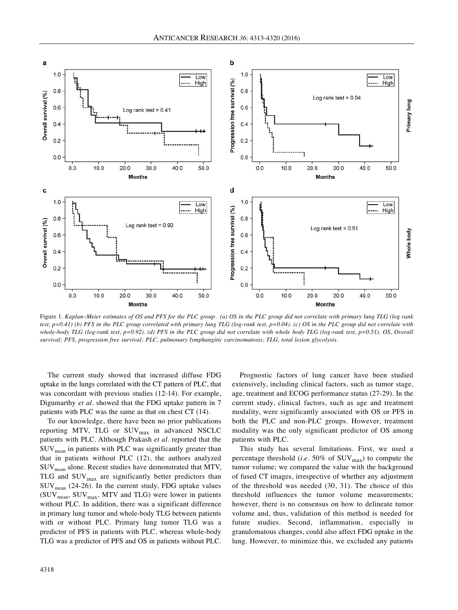

Figure 1. Kaplan–Meier estimates of OS and PFS for the PLC group. (a) OS in the PLC group did not correlate with primary lung TLG (log rank test,  $p=0.41$ ) (b) PFS in the PLC group correlated with primary lung TLG (log-rank test,  $p=0.04$ ). (c) OS in the PLC group did not correlate with whole-body TLG (log-rank test,  $p=0.92$ ). (d) PFS in the PLC group did not correlate with whole body TLG (log-rank test,  $p=0.51$ ). OS, Overall *survival; PFS, progression free survival; PLC, pulmonary lymphangitic carcinomatosis; TLG, total lesion glycolysis.*

The current study showed that increased diffuse FDG uptake in the lungs correlated with the CT pattern of PLC, that was concordant with previous studies (12-14). For example, Digumarthy *et al.* showed that the FDG uptake pattern in 7 patients with PLC was the same as that on chest CT (14).

To our knowledge, there have been no prior publications reporting MTV, TLG or SUV<sub>max</sub> in advanced NSCLC patients with PLC. Although Prakash *et al.* reported that the  $\text{SUV}_{\text{mean}}$  in patients with PLC was significantly greater than that in patients without PLC (12), the authors analyzed SUVmean alone. Recent studies have demonstrated that MTV, TLG and  $\text{SUV}_{\text{max}}$  are significantly better predictors than  $\text{SUV}_{\text{mean}}$  (24-26). In the current study, FDG uptake values  $(SUV_{mean}, SUV_{max}, MTV$  and TLG) were lower in patients without PLC. In addition, there was a significant difference in primary lung tumor and whole-body TLG between patients with or without PLC. Primary lung tumor TLG was a predictor of PFS in patients with PLC, whereas whole-body TLG was a predictor of PFS and OS in patients without PLC.

Prognostic factors of lung cancer have been studied extensively, including clinical factors, such as tumor stage, age, treatment and ECOG performance status (27-29). In the current study, clinical factors, such as age and treatment modality, were significantly associated with OS or PFS in both the PLC and non-PLC groups. However, treatment modality was the only significant predictor of OS among patients with PLC.

This study has several limitations. First, we used a percentage threshold (*i.e.* 50% of  $\text{SUV}_{\text{max}}$ ) to compute the tumor volume; we compared the value with the background of fused CT images, irrespective of whether any adjustment of the threshold was needed (30, 31). The choice of this threshold influences the tumor volume measurements; however, there is no consensus on how to delineate tumor volume and, thus, validation of this method is needed for future studies. Second, inflammation, especially in granulomatous changes, could also affect FDG uptake in the lung. However, to minimize this, we excluded any patients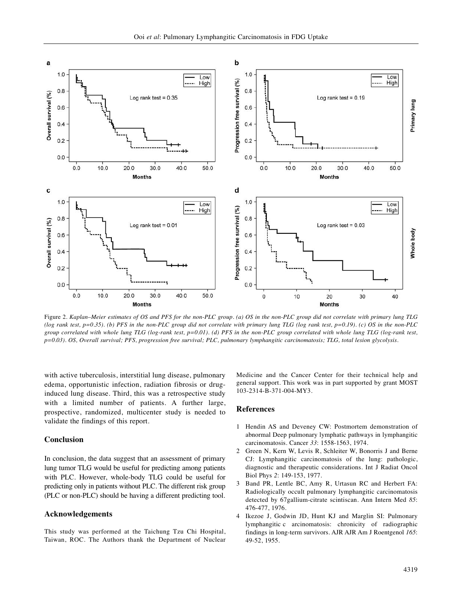

Figure 2. Kaplan–Meier estimates of OS and PFS for the non-PLC group. (a) OS in the non-PLC group did not correlate with primary lung TLG (log rank test,  $p=0.35$ ). (b) PFS in the non-PLC group did not correlate with primary lung TLG (log rank test,  $p=0.19$ ). (c) OS in the non-PLC group correlated with whole lung TLG (log-rank test, p=0.01). (d) PFS in the non-PLC group correlated with whole lung TLG (log-rank test, p=0.03). OS, Overall survival; PFS, progression free survival; PLC, pulmonary lymphangitic carcinomatosis; TLG, total lesion glycolysis.

with active tuberculosis, interstitial lung disease, pulmonary edema, opportunistic infection, radiation fibrosis or druginduced lung disease. Third, this was a retrospective study with a limited number of patients. A further large, prospective, randomized, multicenter study is needed to validate the findings of this report.

## **Conclusion**

In conclusion, the data suggest that an assessment of primary lung tumor TLG would be useful for predicting among patients with PLC. However, whole-body TLG could be useful for predicting only in patients without PLC. The different risk group (PLC or non-PLC) should be having a different predicting tool.

## **Acknowledgements**

This study was performed at the Taichung Tzu Chi Hospital, Taiwan, ROC. The Authors thank the Department of Nuclear Medicine and the Cancer Center for their technical help and general support. This work was in part supported by grant MOST 103-2314-B-371-004-MY3.

#### **References**

- 1 Hendin AS and Deveney CW: Postmortem demonstration of abnormal Deep pulmonary lymphatic pathways in lymphangitic carcinomatosis. Cancer *33*: 1558-1563, 1974.
- 2 Green N, Kern W, Levis R, Schleiter W, Bonorris J and Berne CJ: Lymphangitic carcinomatosis of the lung: pathologic, diagnostic and therapeutic considerations. Int J Radiat Oncol Biol Phys *2*: 149-153, 1977.
- 3 Band PR, Lentle BC, Amy R, Urtasun RC and Herbert FA: Radiologically occult pulmonary lymphangitic carcinomatosis detected by 67gallium-citrate scintiscan. Ann Intern Med *85*: 476-477, 1976.
- 4 Ikezoe J, Godwin JD, Hunt KJ and Marglin SI: Pulmonary lymphangitic c arcinomatosis: chronicity of radiographic findings in long-term survivors. AJR AJR Am J Roentgenol *165*: 49-52, 1955.